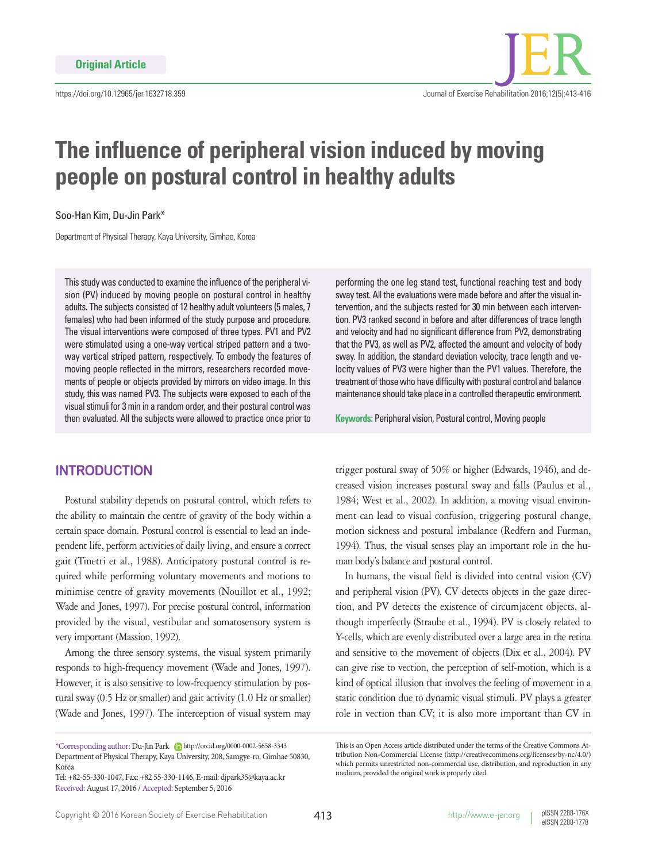

# **The influence of peripheral vision induced by moving people on postural control in healthy adults**

Soo-Han Kim, Du-Jin Park\*

Department of Physical Therapy, Kaya University, Gimhae, Korea

This study was conducted to examine the influence of the peripheral vision (PV) induced by moving people on postural control in healthy adults. The subjects consisted of 12 healthy adult volunteers (5 males, 7 females) who had been informed of the study purpose and procedure. The visual interventions were composed of three types. PV1 and PV2 were stimulated using a one-way vertical striped pattern and a twoway vertical striped pattern, respectively. To embody the features of moving people reflected in the mirrors, researchers recorded movements of people or objects provided by mirrors on video image. In this study, this was named PV3. The subjects were exposed to each of the visual stimuli for 3 min in a random order, and their postural control was then evaluated. All the subjects were allowed to practice once prior to

#### **INTRODUCTION**

Postural stability depends on postural control, which refers to the ability to maintain the centre of gravity of the body within a certain space domain. Postural control is essential to lead an independent life, perform activities of daily living, and ensure a correct gait (Tinetti et al., 1988). Anticipatory postural control is required while performing voluntary movements and motions to minimise centre of gravity movements (Nouillot et al., 1992; Wade and Jones, 1997). For precise postural control, information provided by the visual, vestibular and somatosensory system is very important (Massion, 1992).

Among the three sensory systems, the visual system primarily responds to high-frequency movement (Wade and Jones, 1997). However, it is also sensitive to low-frequency stimulation by postural sway (0.5 Hz or smaller) and gait activity (1.0 Hz or smaller) (Wade and Jones, 1997). The interception of visual system may

Tel: +82-55-330-1047, Fax: +82 55-330-1146, E-mail: djpark35@kaya.ac.kr Received: August 17, 2016 / Accepted: September 5, 2016

performing the one leg stand test, functional reaching test and body sway test. All the evaluations were made before and after the visual intervention, and the subjects rested for 30 min between each intervention. PV3 ranked second in before and after differences of trace length and velocity and had no significant difference from PV2, demonstrating that the PV3, as well as PV2, affected the amount and velocity of body sway. In addition, the standard deviation velocity, trace length and velocity values of PV3 were higher than the PV1 values. Therefore, the treatment of those who have difficulty with postural control and balance maintenance should take place in a controlled therapeutic environment.

**Keywords:** Peripheral vision, Postural control, Moving people

trigger postural sway of 50% or higher (Edwards, 1946), and decreased vision increases postural sway and falls (Paulus et al., 1984; West et al., 2002). In addition, a moving visual environment can lead to visual confusion, triggering postural change, motion sickness and postural imbalance (Redfern and Furman, 1994). Thus, the visual senses play an important role in the human body's balance and postural control.

In humans, the visual field is divided into central vision (CV) and peripheral vision (PV). CV detects objects in the gaze direction, and PV detects the existence of circumjacent objects, although imperfectly (Straube et al., 1994). PV is closely related to Y-cells, which are evenly distributed over a large area in the retina and sensitive to the movement of objects (Dix et al., 2004). PV can give rise to vection, the perception of self-motion, which is a kind of optical illusion that involves the feeling of movement in a static condition due to dynamic visual stimuli. PV plays a greater role in vection than CV; it is also more important than CV in

<sup>\*</sup>Corresponding author: Du-Jin Park http://orcid.org/0000-0002-5658-3343 Department of Physical Therapy, Kaya University, 208, Samgye-ro, Gimhae 50830, Korea

This is an Open Access article distributed under the terms of the Creative Commons Attribution Non-Commercial License (http://creativecommons.org/licenses/by-nc/4.0/) which permits unrestricted non-commercial use, distribution, and reproduction in any medium, provided the original work is properly cited.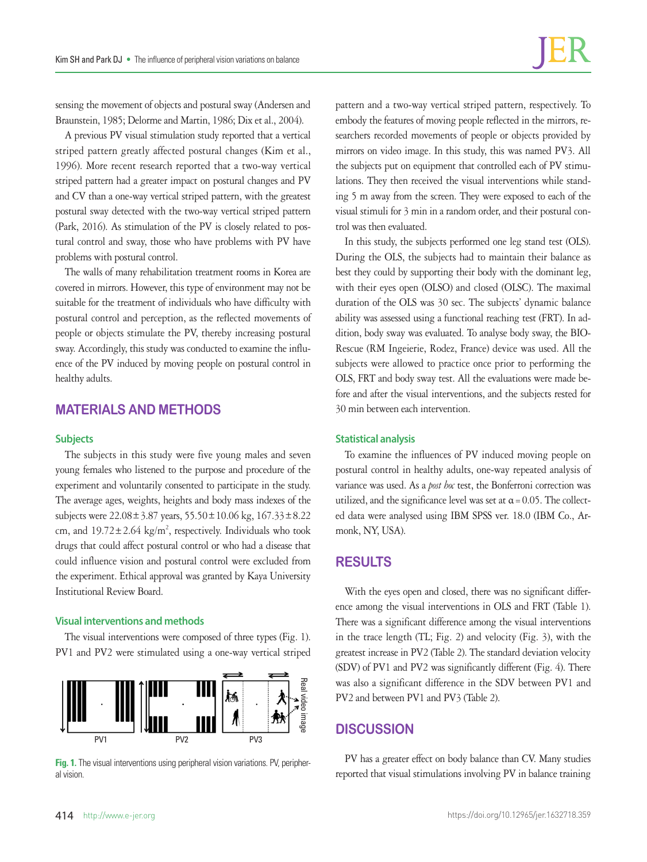sensing the movement of objects and postural sway (Andersen and Braunstein, 1985; Delorme and Martin, 1986; Dix et al., 2004).

A previous PV visual stimulation study reported that a vertical striped pattern greatly affected postural changes (Kim et al., 1996). More recent research reported that a two-way vertical striped pattern had a greater impact on postural changes and PV and CV than a one-way vertical striped pattern, with the greatest postural sway detected with the two-way vertical striped pattern (Park, 2016). As stimulation of the PV is closely related to postural control and sway, those who have problems with PV have problems with postural control.

The walls of many rehabilitation treatment rooms in Korea are covered in mirrors. However, this type of environment may not be suitable for the treatment of individuals who have difficulty with postural control and perception, as the reflected movements of people or objects stimulate the PV, thereby increasing postural sway. Accordingly, this study was conducted to examine the influence of the PV induced by moving people on postural control in healthy adults.

## **MATERIALS AND METHODS**

#### **Subjects**

The subjects in this study were five young males and seven young females who listened to the purpose and procedure of the experiment and voluntarily consented to participate in the study. The average ages, weights, heights and body mass indexes of the subjects were  $22.08 \pm 3.87$  years,  $55.50 \pm 10.06$  kg,  $167.33 \pm 8.22$ cm, and  $19.72 \pm 2.64$  kg/m<sup>2</sup>, respectively. Individuals who took drugs that could affect postural control or who had a disease that could influence vision and postural control were excluded from the experiment. Ethical approval was granted by Kaya University Institutional Review Board.

#### **Visual interventions and methods**

The visual interventions were composed of three types (Fig. 1). PV1 and PV2 were stimulated using a one-way vertical striped



**Fig. 1.** The visual interventions using peripheral vision variations. PV, peripher-

pattern and a two-way vertical striped pattern, respectively. To embody the features of moving people reflected in the mirrors, researchers recorded movements of people or objects provided by mirrors on video image. In this study, this was named PV3. All the subjects put on equipment that controlled each of PV stimulations. They then received the visual interventions while standing 5 m away from the screen. They were exposed to each of the visual stimuli for 3 min in a random order, and their postural control was then evaluated.

In this study, the subjects performed one leg stand test (OLS). During the OLS, the subjects had to maintain their balance as best they could by supporting their body with the dominant leg, with their eyes open (OLSO) and closed (OLSC). The maximal duration of the OLS was 30 sec. The subjects' dynamic balance ability was assessed using a functional reaching test (FRT). In addition, body sway was evaluated. To analyse body sway, the BIO-Rescue (RM Ingeierie, Rodez, France) device was used. All the subjects were allowed to practice once prior to performing the OLS, FRT and body sway test. All the evaluations were made before and after the visual interventions, and the subjects rested for 30 min between each intervention.

#### **Statistical analysis**

To examine the influences of PV induced moving people on postural control in healthy adults, one-way repeated analysis of variance was used. As a *post hoc* test, the Bonferroni correction was utilized, and the significance level was set at  $\alpha$  = 0.05. The collected data were analysed using IBM SPSS ver. 18.0 (IBM Co., Armonk, NY, USA).

#### **RESULTS**

With the eyes open and closed, there was no significant difference among the visual interventions in OLS and FRT (Table 1). There was a significant difference among the visual interventions in the trace length (TL; Fig. 2) and velocity (Fig. 3), with the greatest increase in PV2 (Table 2). The standard deviation velocity (SDV) of PV1 and PV2 was significantly different (Fig. 4). There was also a significant difference in the SDV between PV1 and PV2 and between PV1 and PV3 (Table 2).

## **DISCUSSION**

PV has a greater effect on body balance than CV. Many studies reported that visual stimulations involving PV in balance training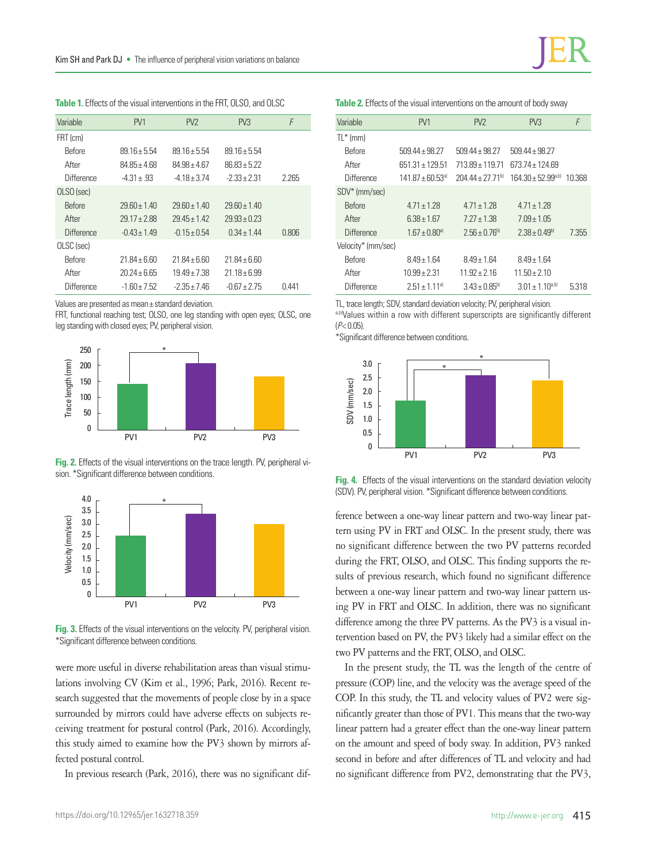| Variable      | PV <sub>1</sub> | PV <sub>2</sub>  | PV3             | F     |
|---------------|-----------------|------------------|-----------------|-------|
| FRT (cm)      |                 |                  |                 |       |
| <b>Before</b> | 89 16 + 5 54    | $8916 + 554$     | 89 16 + 5 54    |       |
| After         | 84.85±4.68      | $84.98 \pm 4.67$ | $86.83 + 5.22$  |       |
| Difference    | $-4.31 \pm .93$ | -4 18 + 3 74     | $-2.33 + 2.31$  | 2.265 |
| OLSO (sec)    |                 |                  |                 |       |
| <b>Before</b> | $2960+140$      | $2960+140$       | $2960 + 140$    |       |
| After         | $2917 + 288$    | $2945+142$       | $29.93 + 0.23$  |       |
| Difference    | $-0.43 + 1.49$  | $-0.15 \pm 0.54$ | $0.34 \pm 1.44$ | 0.806 |
| OLSC (sec)    |                 |                  |                 |       |
| <b>Before</b> | $21.84 + 6.60$  | $21.84 + 6.60$   | $21.84 + 6.60$  |       |
| After         | 20 24 + 6 65    | $19.49 + 7.38$   | $21.18 + 6.99$  |       |
| Difference    | $-1.60 + 7.52$  | $-2.35 + 7.46$   | $-0.67 + 2.75$  | 0.441 |

**Table 1.** Effects of the visual interventions in the FRT, OLSO, and OLSC

Values are presented as mean± standard deviation.

FRT, functional reaching test; OLSO, one leg standing with open eyes; OLSC, one leg standing with closed eyes; PV, peripheral vision.







**Fig. 3.** Effects of the visual interventions on the velocity. PV, peripheral vision.

were more useful in diverse rehabilitation areas than visual stimulations involving CV (Kim et al., 1996; Park, 2016). Recent research suggested that the movements of people close by in a space surrounded by mirrors could have adverse effects on subjects receiving treatment for postural control (Park, 2016). Accordingly, this study aimed to examine how the PV3 shown by mirrors affected postural control.

In previous research (Park, 2016), there was no significant dif-

**Table 2.** Effects of the visual interventions on the amount of body sway

| Variable           | PV <sub>1</sub>                | PV <sub>2</sub>              | PV3                      | F      |
|--------------------|--------------------------------|------------------------------|--------------------------|--------|
| $TL^*$ (mm)        |                                |                              |                          |        |
| <b>Refore</b>      | 509 44 + 98 27                 | 509 44 + 98 27               | $509.44 \pm 98.27$       |        |
| After              | 651 31 + 129 51                | 713.89 ± 119.71              | 673 74 + 124 69          |        |
| Difference         | $141.87 + 60.53$ <sup>a)</sup> | $20444 + 2771$ <sup>b)</sup> | $164.30 \pm 52.99^{a,b}$ | 10.368 |
| SDV* (mm/sec)      |                                |                              |                          |        |
| <b>Before</b>      | $471 + 128$                    | $471 + 128$                  | $471 + 178$              |        |
| After              | $6.38 \pm 1.67$                | $7.27 \pm 1.38$              | $7.09 \pm 1.05$          |        |
| <b>Difference</b>  | $1.67 \pm 0.80$ <sup>a)</sup>  | $2.56 \pm 0.76^{b}$          | $2.38 \pm 0.49^{\circ}$  | 7.355  |
| Velocity* (mm/sec) |                                |                              |                          |        |
| Before             | $849 + 164$                    | $849+164$                    | $849+164$                |        |
| After              | $10.99 + 2.31$                 | $11.92 + 2.16$               | $11.50 + 2.10$           |        |
| <b>Difference</b>  | $2.51 \pm 1.11^{a}$            | $3.43 \pm 0.85^{\circ}$      | $3.01 \pm 1.10^{a,b}$    | 5.318  |

TL, trace length; SDV, standard deviation velocity; PV, peripheral vision.

a,b)Values within a row with different superscripts are significantly different (*P*< 0.05).

\*Significant difference between conditions.



**Fig. 4.** Effects of the visual interventions on the standard deviation velocity

ference between a one-way linear pattern and two-way linear pattern using PV in FRT and OLSC. In the present study, there was no significant difference between the two PV patterns recorded during the FRT, OLSO, and OLSC. This finding supports the results of previous research, which found no significant difference between a one-way linear pattern and two-way linear pattern using PV in FRT and OLSC. In addition, there was no significant difference among the three PV patterns. As the PV3 is a visual intervention based on PV, the PV3 likely had a similar effect on the two PV patterns and the FRT, OLSO, and OLSC.

In the present study, the TL was the length of the centre of pressure (COP) line, and the velocity was the average speed of the COP. In this study, the TL and velocity values of PV2 were significantly greater than those of PV1. This means that the two-way linear pattern had a greater effect than the one-way linear pattern on the amount and speed of body sway. In addition, PV3 ranked second in before and after differences of TL and velocity and had no significant difference from PV2, demonstrating that the PV3,